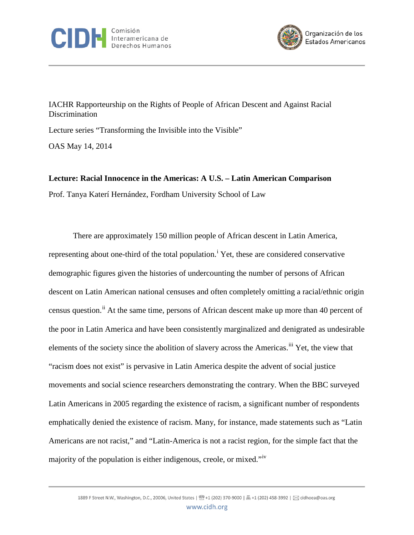



IACHR Rapporteurship on the Rights of People of African Descent and Against Racial Discrimination

Lecture series "Transforming the Invisible into the Visible"

OAS May 14, 2014

**Lecture: Racial Innocence in the Americas: A U.S. – Latin American Comparison**

Prof. Tanya Katerí Hernández, Fordham University School of Law

There are approximately 150 million people of African descent in Latin America, represent[i](#page-12-0)ng about one-third of the total population.<sup>i</sup> Yet, these are considered conservative demographic figures given the histories of undercounting the number of persons of African descent on Latin American national censuses and often completely omitting a racial/ethnic origin census question.<sup>[ii](#page-12-1)</sup> At the same time, persons of African descent make up more than 40 percent of the poor in Latin America and have been consistently marginalized and denigrated as undesirable elements of the society since the abolition of slavery across the Americas.<sup>[iii](#page-12-2)</sup> Yet, the view that "racism does not exist" is pervasive in Latin America despite the advent of social justice movements and social science researchers demonstrating the contrary. When the BBC surveyed Latin Americans in 2005 regarding the existence of racism, a significant number of respondents emphatically denied the existence of racism. Many, for instance, made statements such as "Latin Americans are not racist," and "Latin-America is not a racist region, for the simple fact that the majority of the population is either indigenous, creole, or mixed."<sup>[iv](#page-12-3)</sup>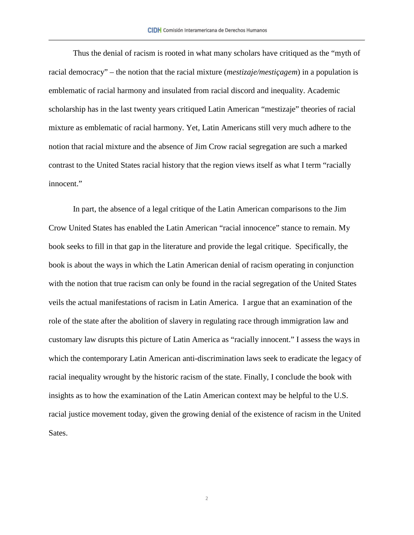Thus the denial of racism is rooted in what many scholars have critiqued as the "myth of racial democracy" – the notion that the racial mixture (*mestizaje/mestiçagem*) in a population is emblematic of racial harmony and insulated from racial discord and inequality. Academic scholarship has in the last twenty years critiqued Latin American "mestizaje" theories of racial mixture as emblematic of racial harmony. Yet, Latin Americans still very much adhere to the notion that racial mixture and the absence of Jim Crow racial segregation are such a marked contrast to the United States racial history that the region views itself as what I term "racially innocent."

In part, the absence of a legal critique of the Latin American comparisons to the Jim Crow United States has enabled the Latin American "racial innocence" stance to remain. My book seeks to fill in that gap in the literature and provide the legal critique. Specifically, the book is about the ways in which the Latin American denial of racism operating in conjunction with the notion that true racism can only be found in the racial segregation of the United States veils the actual manifestations of racism in Latin America. I argue that an examination of the role of the state after the abolition of slavery in regulating race through immigration law and customary law disrupts this picture of Latin America as "racially innocent." I assess the ways in which the contemporary Latin American anti-discrimination laws seek to eradicate the legacy of racial inequality wrought by the historic racism of the state. Finally, I conclude the book with insights as to how the examination of the Latin American context may be helpful to the U.S. racial justice movement today, given the growing denial of the existence of racism in the United Sates.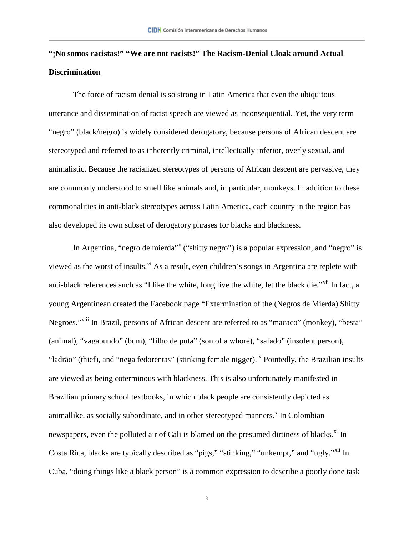## **"¡No somos racistas!" "We are not racists!" The Racism-Denial Cloak around Actual Discrimination**

The force of racism denial is so strong in Latin America that even the ubiquitous utterance and dissemination of racist speech are viewed as inconsequential. Yet, the very term "negro" (black/negro) is widely considered derogatory, because persons of African descent are stereotyped and referred to as inherently criminal, intellectually inferior, overly sexual, and animalistic. Because the racialized stereotypes of persons of African descent are pervasive, they are commonly understood to smell like animals and, in particular, monkeys. In addition to these commonalities in anti-black stereotypes across Latin America, each country in the region has also developed its own subset of derogatory phrases for blacks and blackness.

In Argentina, "negro de mierda"<sup> $\theta$ </sup> ("shitty negro") is a popular expression, and "negro" is [vi](#page-13-1)ewed as the worst of insults.<sup>vi</sup> As a result, even children's songs in Argentina are replete with anti-black references such as "I like the white, long live the white, let the black die."[vii](#page-13-2) In fact, a young Argentinean created the Facebook page "Extermination of the (Negros de Mierda) Shitty Negroes."<sup>[viii](#page-13-3)</sup> In Brazil, persons of African descent are referred to as "macaco" (monkey), "besta" (animal), "vagabundo" (bum), "filho de puta" (son of a whore), "safado" (insolent person), "ladrão" (thief), and "nega fedorentas" (stinking female nigger).<sup>[ix](#page-13-4)</sup> Pointedly, the Brazilian insults are viewed as being coterminous with blackness. This is also unfortunately manifested in Brazilian primary school textbooks, in which black people are consistently depicted as animallike, as socially subordinate, and in other stereotyped manners. $^x$  $^x$  In Colombian newspapers, even the polluted air of Cali is blamed on the presumed dirtiness of blacks.<sup>[xi](#page-13-6)</sup> In Costa Rica, blacks are typically described as "pigs," "stinking," "unkempt," and "ugly."<sup>[xii](#page-13-7)</sup> In Cuba, "doing things like a black person" is a common expression to describe a poorly done task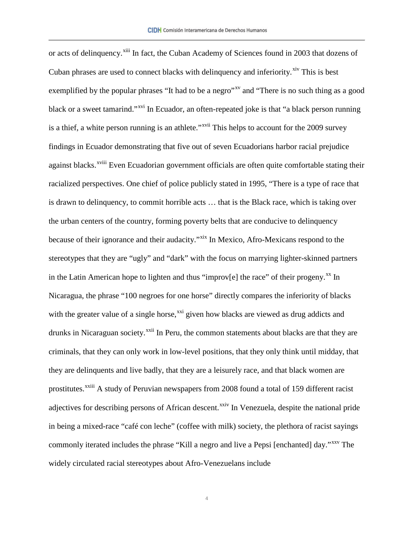or acts of delinquency.<sup>[xiii](#page-14-0)</sup> In fact, the Cuban Academy of Sciences found in 2003 that dozens of Cuban phrases are used to connect blacks with delinquency and inferiority.<sup>[xiv](#page-14-1)</sup> This is best exemplified by the popular phrases "It had to be a negro"<sup>[xv](#page-14-2)</sup> and "There is no such thing as a good black or a sweet tamarind."<sup>[xvi](#page-14-3)</sup> In Ecuador, an often-repeated joke is that "a black person running is a thief, a white person running is an athlete."<sup>[xvii](#page-14-4)</sup> This helps to account for the 2009 survey findings in Ecuador demonstrating that five out of seven Ecuadorians harbor racial prejudice against blacks.<sup>xviii</sup> [E](#page-14-5)ven Ecuadorian government officials are often quite comfortable stating their racialized perspectives. One chief of police publicly stated in 1995, "There is a type of race that is drawn to delinquency, to commit horrible acts … that is the Black race, which is taking over the urban centers of the country, forming poverty belts that are conducive to delinquency because of their ignorance and their audacity."<sup>[xix](#page-14-6)</sup> In Mexico, Afro-Mexicans respond to the prost[i](#page-14-10)tutes.<sup>xxiii</sup> A study of Peruvian newspapers from 2008 found a total of 159 different racist stereotypes that they are "ugly" and "dark" with the focus on marrying lighter-skinned partners in the Latin American hope to lighten and thus "improv[e] the race" of their progeny. $^{xx}$  $^{xx}$  $^{xx}$  In Nicaragua, the phrase "100 negroes for one horse" directly compares the inferiority of blacks with the greater value of a single horse,<sup> $xxi$ </sup> given how blacks are viewed as drug addicts and drunks in Nicaraguan society.<sup>[xxii](#page-14-9)</sup> In Peru, the common statements about blacks are that they are criminals, that they can only work in low-level positions, that they only think until midday, that they are delinquents and live badly, that they are a leisurely race, and that black women are adjectives for describing persons of African descent.<sup>[xxiv](#page-14-11)</sup> In Venezuela, despite the national pride in being a mixed-race "café con leche" (coffee with milk) society, the plethora of racist sayings commonly iterated includes the phrase "Kill a negro and live a Pepsi [enchanted] day."<sup>[xxv](#page-14-12)</sup> The widely circulated racial stereotypes about Afro-Venezuelans include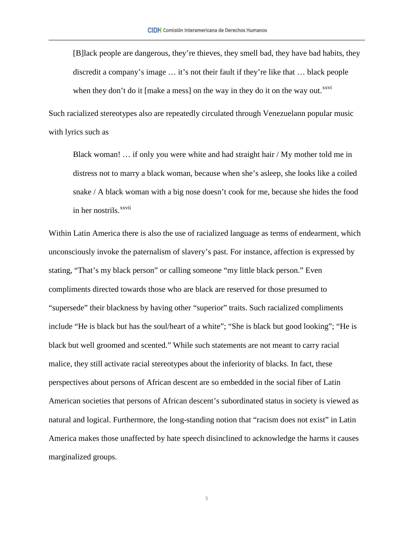[B]lack people are dangerous, they're thieves, they smell bad, they have bad habits, they discredit a company's image … it's not their fault if they're like that … black people when they don't do it [make a mess] on the way in they do it on the way out.<sup> $x$ yi</sup>

Such racialized stereotypes also are repeatedly circulated through Venezuelann popular music with lyrics such as

Black woman! … if only you were white and had straight hair / My mother told me in distress not to marry a black woman, because when she's asleep, she looks like a coiled snake / A black woman with a big nose doesn't cook for me, because she hides the food in her nostrils.<sup>xxvii</sup>

Within Latin America there is also the use of racialized language as terms of endearment, which unconsciously invoke the paternalism of slavery's past. For instance, affection is expressed by stating, "That's my black person" or calling someone "my little black person." Even compliments directed towards those who are black are reserved for those presumed to "supersede" their blackness by having other "superior" traits. Such racialized compliments include "He is black but has the soul/heart of a white"; "She is black but good looking"; "He is black but well groomed and scented." While such statements are not meant to carry racial malice, they still activate racial stereotypes about the inferiority of blacks. In fact, these perspectives about persons of African descent are so embedded in the social fiber of Latin American societies that persons of African descent's subordinated status in society is viewed as natural and logical. Furthermore, the long-standing notion that "racism does not exist" in Latin America makes those unaffected by hate speech disinclined to acknowledge the harms it causes marginalized groups.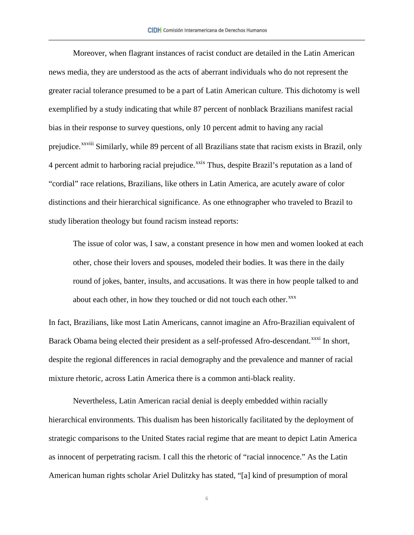Moreover, when flagrant instances of racist conduct are detailed in the Latin American news media, they are understood as the acts of aberrant individuals who do not represent the greater racial tolerance presumed to be a part of Latin American culture. This dichotomy is well exemplified by a study indicating that while 87 percent of nonblack Brazilians manifest racial bias in their response to survey questions, only 10 percent admit to having any racial prejudice.<sup>xxviii</sup> [S](#page-14-14)imilarly, while 89 percent of all Brazilians state that racism exists in Brazil, only 4 percent admit to harboring racial prejudice.<sup>[xxix](#page-14-15)</sup> Thus, despite Brazil's reputation as a land of "cordial" race relations, Brazilians, like others in Latin America, are acutely aware of color distinctions and their hierarchical significance. As one ethnographer who traveled to Brazil to study liberation theology but found racism instead reports:

The issue of color was, I saw, a constant presence in how men and women looked at each other, chose their lovers and spouses, modeled their bodies. It was there in the daily round of jokes, banter, insults, and accusations. It was there in how people talked to and about each other, in how they touched or did not touch each other.<sup>[xxx](#page-14-16)</sup>

In fact, Brazilians, like most Latin Americans, cannot imagine an Afro-Brazilian equivalent of Barack Obama being elected their president as a self-professed Afro-descendant.<sup>[xxxi](#page-14-17)</sup> In short, despite the regional differences in racial demography and the prevalence and manner of racial mixture rhetoric, across Latin America there is a common anti-black reality.

Nevertheless, Latin American racial denial is deeply embedded within racially hierarchical environments. This dualism has been historically facilitated by the deployment of strategic comparisons to the United States racial regime that are meant to depict Latin America as innocent of perpetrating racism. I call this the rhetoric of "racial innocence." As the Latin American human rights scholar Ariel Dulitzky has stated, "[a] kind of presumption of moral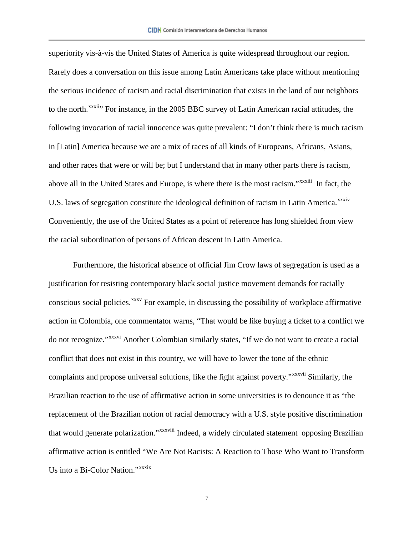superiority vis-à-vis the United States of America is quite widespread throughout our region. Rarely does a conversation on this issue among Latin Americans take place without mentioning the serious incidence of racism and racial discrimination that exists in the land of our neighbors to the north.<sup>xxxii</sup><sup>\*</sup> For instance, in the 2005 BBC surve[y](#page-14-18) of Latin American racial attitudes, the above all in the United States and Europe, is where there is the most racism."<sup>xxxiii</sup> [I](#page-14-0)n fact, the U.S.laws of segregation constitute the ideological definition of racism in Latin America. XXXIV following invocation of racial innocence was quite prevalent: "I don't think there is much racism in [Latin] America because we are a mix of races of all kinds of Europeans, Africans, Asians, and other races that were or will be; but I understand that in many other parts there is racism, Conveniently, the use of the United States as a point of reference has long shielded from view the racial subordination of persons of African descent in Latin America.

Furthermore, the historical absence of official Jim Crow laws of segregation is used as a justification for resisting contemporary black social justice movement demands for racially conscious social policies.<sup>[xxxv](#page-14-2)</sup> For example, in discussing the possibility of workplace affirmative do not recognize."<sup>xxxvi</sup> [A](#page-14-20)nother Colombian similarly states, "If we do not want to create a racial complaints and propose universal solutions, like the fight against poverty."<sup>xxxvii</sup> [S](#page-14-21)imilarly, the that would generate polar[i](#page-14-22)zation." XXXVIII Indeed, a widely circulated statement opposing Brazilian Us into a Bi-Color Nation."<sup>xxxix</sup> action in Colombia, one commentator warns, "That would be like buying a ticket to a conflict we conflict that does not exist in this country, we will have to lower the tone of the ethnic Brazilian reaction to the use of affirmative action in some universities is to denounce it as "the replacement of the Brazilian notion of racial democracy with a U.S. style positive discrimination affirmative action is entitled "We Are Not Racists: A Reaction to Those Who Want to Transform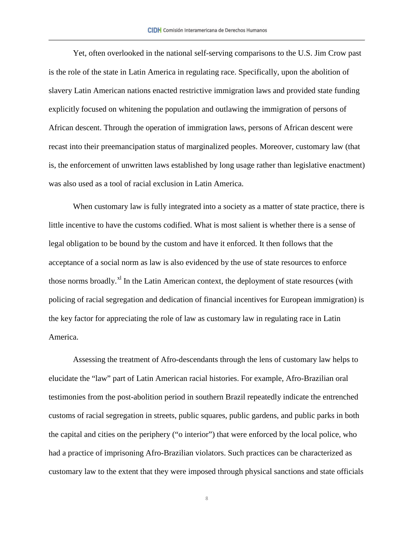Yet, often overlooked in the national self-serving comparisons to the U.S. Jim Crow past is the role of the state in Latin America in regulating race. Specifically, upon the abolition of slavery Latin American nations enacted restrictive immigration laws and provided state funding explicitly focused on whitening the population and outlawing the immigration of persons of African descent. Through the operation of immigration laws, persons of African descent were recast into their preemancipation status of marginalized peoples. Moreover, customary law (that is, the enforcement of unwritten laws established by long usage rather than legislative enactment) was also used as a tool of racial exclusion in Latin America.

When customary law is fully integrated into a society as a matter of state practice, there is little incentive to have the customs codified. What is most salient is whether there is a sense of legal obligation to be bound by the custom and have it enforced. It then follows that the acceptance of a social norm as law is also evidenced by the use of state resources to enforce those norms broadly.<sup>[xl](#page-14-23)</sup> In the Latin American context, the deployment of state resources (with policing of racial segregation and dedication of financial incentives for European immigration) is the key factor for appreciating the role of law as customary law in regulating race in Latin America.

Assessing the treatment of Afro-descendants through the lens of customary law helps to elucidate the "law" part of Latin American racial histories. For example, Afro-Brazilian oral testimonies from the post-abolition period in southern Brazil repeatedly indicate the entrenched customs of racial segregation in streets, public squares, public gardens, and public parks in both the capital and cities on the periphery ("o interior") that were enforced by the local police, who had a practice of imprisoning Afro-Brazilian violators. Such practices can be characterized as customary law to the extent that they were imposed through physical sanctions and state officials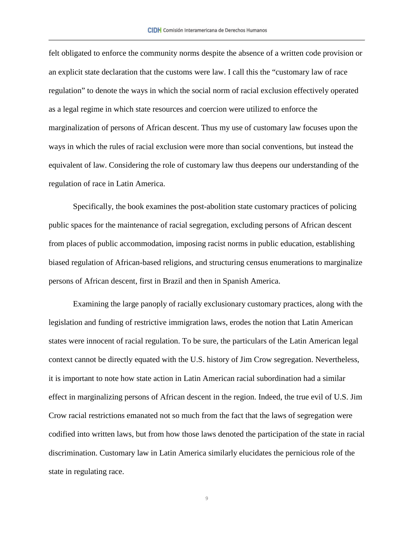felt obligated to enforce the community norms despite the absence of a written code provision or an explicit state declaration that the customs were law. I call this the "customary law of race regulation" to denote the ways in which the social norm of racial exclusion effectively operated as a legal regime in which state resources and coercion were utilized to enforce the marginalization of persons of African descent. Thus my use of customary law focuses upon the ways in which the rules of racial exclusion were more than social conventions, but instead the equivalent of law. Considering the role of customary law thus deepens our understanding of the regulation of race in Latin America.

Specifically, the book examines the post-abolition state customary practices of policing public spaces for the maintenance of racial segregation, excluding persons of African descent from places of public accommodation, imposing racist norms in public education, establishing biased regulation of African-based religions, and structuring census enumerations to marginalize persons of African descent, first in Brazil and then in Spanish America.

Examining the large panoply of racially exclusionary customary practices, along with the legislation and funding of restrictive immigration laws, erodes the notion that Latin American states were innocent of racial regulation. To be sure, the particulars of the Latin American legal context cannot be directly equated with the U.S. history of Jim Crow segregation. Nevertheless, it is important to note how state action in Latin American racial subordination had a similar effect in marginalizing persons of African descent in the region. Indeed, the true evil of U.S. Jim Crow racial restrictions emanated not so much from the fact that the laws of segregation were codified into written laws, but from how those laws denoted the participation of the state in racial discrimination. Customary law in Latin America similarly elucidates the pernicious role of the state in regulating race.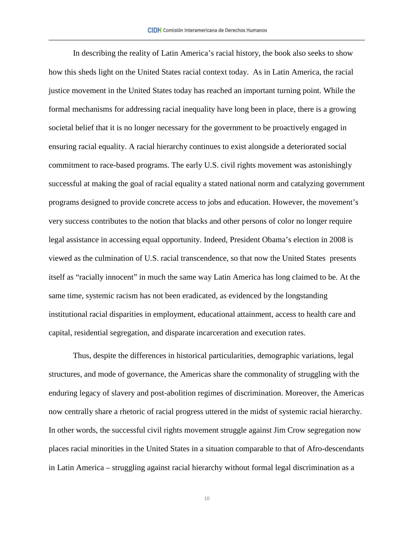In describing the reality of Latin America's racial history, the book also seeks to show how this sheds light on the United States racial context today. As in Latin America, the racial justice movement in the United States today has reached an important turning point. While the formal mechanisms for addressing racial inequality have long been in place, there is a growing societal belief that it is no longer necessary for the government to be proactively engaged in ensuring racial equality. A racial hierarchy continues to exist alongside a deteriorated social commitment to race-based programs. The early U.S. civil rights movement was astonishingly successful at making the goal of racial equality a stated national norm and catalyzing government programs designed to provide concrete access to jobs and education. However, the movement's very success contributes to the notion that blacks and other persons of color no longer require legal assistance in accessing equal opportunity. Indeed, President Obama's election in 2008 is viewed as the culmination of U.S. racial transcendence, so that now the United States presents itself as "racially innocent" in much the same way Latin America has long claimed to be. At the same time, systemic racism has not been eradicated, as evidenced by the longstanding institutional racial disparities in employment, educational attainment, access to health care and capital, residential segregation, and disparate incarceration and execution rates.

Thus, despite the differences in historical particularities, demographic variations, legal structures, and mode of governance, the Americas share the commonality of struggling with the enduring legacy of slavery and post-abolition regimes of discrimination. Moreover, the Americas now centrally share a rhetoric of racial progress uttered in the midst of systemic racial hierarchy. In other words, the successful civil rights movement struggle against Jim Crow segregation now places racial minorities in the United States in a situation comparable to that of Afro-descendants in Latin America – struggling against racial hierarchy without formal legal discrimination as a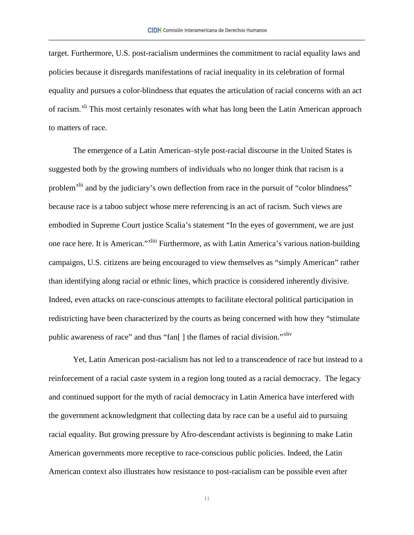target. Furthermore, U.S. post-racialism undermines the commitment to racial equality laws and policies because it disregards manifestations of racial inequality in its celebration of formal equality and pursues a color-blindness that equates the articulation of racial concerns with an act of racism.<sup>[xli](#page-14-24)</sup> This most certainly resonates with what has long been the Latin American approach to matters of race.

The emergence of a Latin American–style post-racial discourse in the United States is suggested both by the growing numbers of individuals who no longer think that racism is a problem<sup>[xlii](#page-14-25)</sup> and by the judiciary's own deflection from race in the pursuit of "color blindness" one race here. It [i](#page-14-26)s American."<sup>xliii</sup> Furthermore, as with Latin America's various nation-building because race is a taboo subject whose mere referencing is an act of racism. Such views are embodied in Supreme Court justice Scalia's statement "In the eyes of government, we are just campaigns, U.S. citizens are being encouraged to view themselves as "simply American" rather than identifying along racial or ethnic lines, which practice is considered inherently divisive. Indeed, even attacks on race-conscious attempts to facilitate electoral political participation in redistricting have been characterized by the courts as being concerned with how they "stimulate public awareness of race" and thus "fan<sup>[]</sup> the flames of racial division."<sup>[xliv](#page-14-27)</sup>

Yet, Latin American post-racialism has not led to a transcendence of race but instead to a reinforcement of a racial caste system in a region long touted as a racial democracy. The legacy and continued support for the myth of racial democracy in Latin America have interfered with the government acknowledgment that collecting data by race can be a useful aid to pursuing racial equality. But growing pressure by Afro-descendant activists is beginning to make Latin American governments more receptive to race-conscious public policies. Indeed, the Latin American context also illustrates how resistance to post-racialism can be possible even after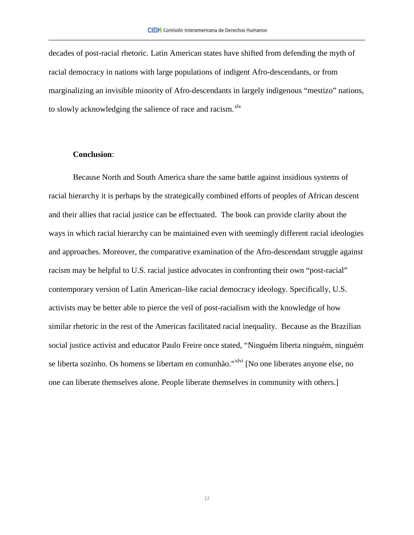decades of post-racial rhetoric. Latin American states have shifted from defending the myth of racial democracy in nations with large populations of indigent Afro-descendants, or from marginalizing an invisible minority of Afro-descendants in largely indigenous "mestizo" nations, to slowly acknowledging the salience of race and racism.<sup>[xlv](#page-14-28)</sup>

## **Conclusion**:

Because North and South America share the same battle against insidious systems of racial hierarchy it is perhaps by the strategically combined efforts of peoples of African descent and their allies that racial justice can be effectuated. The book can provide clarity about the ways in which racial hierarchy can be maintained even with seemingly different racial ideologies and approaches. Moreover, the comparative examination of the Afro-descendant struggle against racism may be helpful to U.S. racial justice advocates in confronting their own "post-racial" contemporary version of Latin American–like racial democracy ideology. Specifically, U.S. activists may be better able to pierce the veil of post-racialism with the knowledge of how similar rhetoric in the rest of the Americas facilitated racial inequality. Because as the Brazilian social justice activist and educator Paulo Freire once stated, "Ninguém liberta ninguém, ninguém se liberta sozinho. Os homens se libertam en comunhão."<sup>[xlvi](#page-14-29)</sup> [No one liberates anyone else, no one can liberate themselves alone. People liberate themselves in community with others.]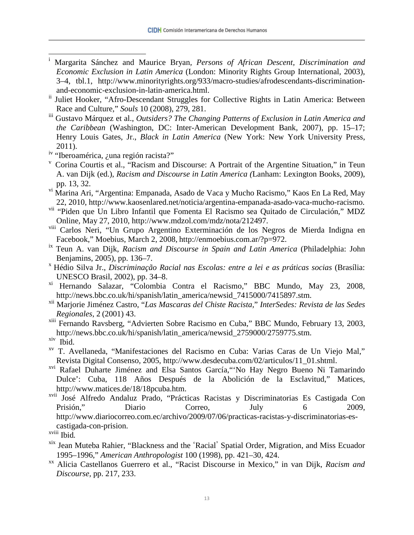- <span id="page-12-0"></span><sup>i</sup> Margarita Sánchez and Maurice Bryan*, Persons of African Descent, Discrimination and Economic Exclusion in Latin America* (London: Minority Rights Group International*,* 2003), 3–4, tbl.1, http://www.minorityrights.org/933/macro-studies/afrodescendants-discriminationand-economic-exclusion-in-latin-america.html.  $\overline{\phantom{a}}$
- <span id="page-12-1"></span>ii Juliet Hooker, "Afro-Descendant Struggles for Collective Rights in Latin America: Between Race and Culture," *Souls* 10 (2008), 279, 281.
- <span id="page-12-2"></span>iii Gustavo Márquez et al., *Outsiders? The Changing Patterns of Exclusion in Latin America and the Caribbean* (Washington, DC: Inter-American Development Bank, 2007), pp. 15–17; Henry Louis Gates, Jr., *Black in Latin America* (New York: New York University Press, 2011).<br>iv "Iberoamérica, ¿una región racista?"
- <span id="page-12-3"></span>
- <sup>v</sup> Corina Courtis et al., "Racism and Discourse: A Portrait of the Argentine Situation," in Teun A. van Dijk (ed.), *Racism and Discourse in Latin America (*Lanham: Lexington Books, 2009), pp. 13, 32.
- vi Marina Ari, "Argentina: Empanada, Asado de Vaca y Mucho Racismo," Kaos En La Red, May 22, 2010, http://www.kaosenlared.net/noticia/argentina-empanada-asado-vaca-mucho-racismo.
- vii "Piden que Un Libro Infantil que Fomenta El Racismo sea Quitado de Circulación," MDZ Online*,* May 27, 2010, http://www.mdzol.com/mdz/nota/212497.
- viii Carlos Neri, "Un Grupo Argentino Exterminación de los Negros de Mierda Indigna en Facebook," Moebius, March 2, 2008, http://enmoebius.com.ar/?p=972.
- ix Teun A. van Dijk, *Racism and Discourse in Spain and Latin America* (Philadelphia: John Benjamins, 2005), pp. 136–7. <sup>x</sup> Hédio Silva Jr., *Discriminação Racial nas Escolas: entre a lei e as práticas socias* (Brasília:
- UNESCO Brasil, 2002), pp. 34–8.
- xi Hernando Salazar, "Colombia Contra el Racismo," BBC Mundo, May 23, 2008, http://news.bbc.co.uk/hi/spanish/latin\_america/newsid\_7415000/7415897.stm.
- xii Marjorie Jiménez Castro, "*Las Mascaras del Chiste Racista,*" *InterSedes: Revista de las Sedes Regionales*, 2 (2001) 43.
- xiii Fernando Ravsberg, "Advierten Sobre Racismo en Cuba," BBC Mundo, February 13, 2003, http://news.bbc.co.uk/hi/spanish/latin\_america/newsid\_2759000/2759775.stm.
- 
- <sup>xv</sup> T. Avellaneda, "Manifestaciones del Racismo en Cuba: Varias Caras de Un Viejo Mal," Revista Digital Consenso*,* 2005, http://www.desdecuba.com/02/articulos/11\_01.shtml.
- xvi Rafael Duharte Jiménez and Elsa Santos García,"'No Hay Negro Bueno Ni Tamarindo Dulce': Cuba, 118 Años Después de la Abolición de la Esclavitud," Matices, http://www.matices.de/18/18pcuba.htm.
- xvii José Alfredo Andaluz Prado, "Prácticas Racistas y Discriminatorias Es Castigada Con Prisión," Diario Correo, July 6 2009, http://www.diariocorreo.com.ec/archivo/2009/07/06/practicas-racistas-y-discriminatorias-escastigada-con-prision.
- xviii Ibid*.*
- <sup>xix</sup> Jean Muteba Rahier, "Blackness and the 'Racial' Spatial Order, Migration, and Miss Ecuador 1995–1996," *American Anthropologist* 100 (1998), pp. 421–30, 424. xx Alicia Castellanos Guerrero et al., "Racist Discourse in Mexico," in van Dijk, *Racism and*
- *Discourse,* pp. 217, 233.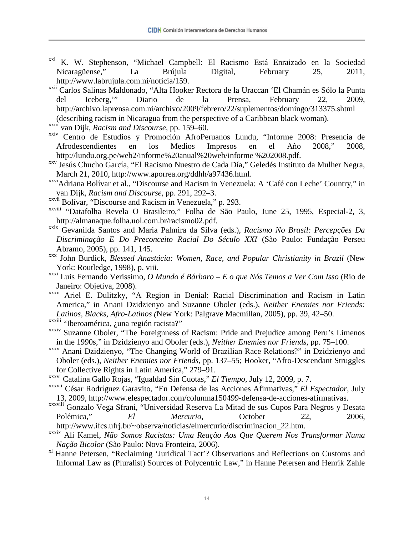- xxi K. W. Stephenson, "Michael Campbell: El Racismo Está Enraizado en la Sociedad Nicaragüense," La Brújula Digital, February 25, 2011, http://www.labrujula.com.ni/noticia/159.
- xxii Carlos Salinas Maldonado, "Alta Hooker Rectora de la Uraccan 'El Chamán es Sólo la Punta del Iceberg,'" Diario de la Prensa*,* February 22, 2009, http://archivo.laprensa.com.ni/archivo/2009/febrero/22/suplementos/domingo/313375.shtml (describing racism in Nicaragua from the perspective of a Caribbean black woman).
- xxiii van Dijk, *Racism and Discourse,* pp. 159–60.

 $\overline{\phantom{a}}$ 

- xxiv Centro de Estudios y Promoción AfroPeruanos Lundu, "Informe 2008: Presencia de Afrodescendientes en los Medios Impresos en el Año 2008," 2008, http://lundu.org.pe/web2/informe%20anual%20web/informe %202008.pdf. xxv Jesús Chucho García, "El Racismo Nuestro de Cada Día," Geledés Instituto da Mulher Negra,
- <span id="page-13-0"></span>March 21, 2010, http://www.aporrea.org/ddhh/a97436.html.
- <span id="page-13-1"></span>xxviAdriana Bolívar et al., "Discourse and Racism in Venezuela: A 'Café con Leche' Country," in van Dijk, *Racism and Discourse,* pp. 291, 292–3.
- xxvii Bolívar, "Discourse and Racism in Venezuela," p. 293.
- <span id="page-13-2"></span>xxviii "Datafolha Revela O Brasileiro," Folha de São Paulo, June 25, 1995, Especial-2, 3, http://almanaque.folha.uol.com.br/racismo02.pdf.
- <span id="page-13-3"></span>xxix Gevanilda Santos and Maria Palmira da Silva (eds.), *Racismo No Brasil: Percepções Da Discriminação E Do Preconceito Racial Do Século XXI* (São Paulo: Fundação Perseu Abramo, 2005), pp. 141, 145.<br><sup>xxx</sup> John Burdick, *Blessed Anastácia: Women, Race, and Popular Christianity in Brazil* (New
- <span id="page-13-4"></span>York: Routledge, 1998), p. viii.
- <span id="page-13-5"></span>xxxi Luis Fernando Verissimo, *O Mundo é Bárbaro – E o que Nós Temos a Ver Com Isso* (Rio de Janeiro: Objetiva, 2008).
- <span id="page-13-7"></span><span id="page-13-6"></span>xxxii Ariel E. Dulitzky, "A Region in Denial: Racial Discrimination and Racism in Latin America," in Anani Dzidzienyo and Suzanne Oboler (eds.), *Neither Enemies nor Friends: Latinos, Blacks, Afro-Latinos (*New York: Palgrave Macmillan, 2005), pp. 39, 42–50.
- xxxiii "Iberoamérica, ¿una región racista?"
- xxxiv Suzanne Oboler, "The Foreignness of Racism: Pride and Prejudice among Peru's Limenos in the 1990s," in Dzidzienyo and Oboler (eds.), *Neither Enemies nor Friends*, pp. 75–100.<br><sup>xxxv</sup> Anani Dzidzienyo, "The Changing World of Brazilian Race Relations?" in Dzidzienyo and
- Oboler (eds.), *Neither Enemies nor Friends*, pp. 137–55; Hooker, "Afro-Descendant Struggles for Collective Rights in Latin America," 279–91.
- xxxvi Catalina Gallo Rojas, "Igualdad Sin Cuotas," *El Tiempo*, July 12, 2009, p. 7.
- xxxvii César Rodríguez Garavito, "En Defensa de las Acciones Afirmativas," *El Espectador*, July 13, 2009, http://www.elespectador.com/columna150499-defensa-de-acciones-afirmativas.
- xxxviii Gonzalo Vega Sfrani, "Universidad Reserva La Mitad de sus Cupos Para Negros y Desata Polémica," *El Mercurio*, October 22, 2006, http://www.ifcs.ufrj.br/~observa/noticias/elmercurio/discriminacion\_22.htm.
- xxxix Ali Kamel, *Não Somos Racistas: Uma Reação Aos Que Querem Nos Transformar Numa Nação Bicolor* (São Paulo: Nova Fronteira, 2006).
- xl Hanne Petersen, "Reclaiming 'Juridical Tact'? Observations and Reflections on Customs and Informal Law as (Pluralist) Sources of Polycentric Law," in Hanne Petersen and Henrik Zahle